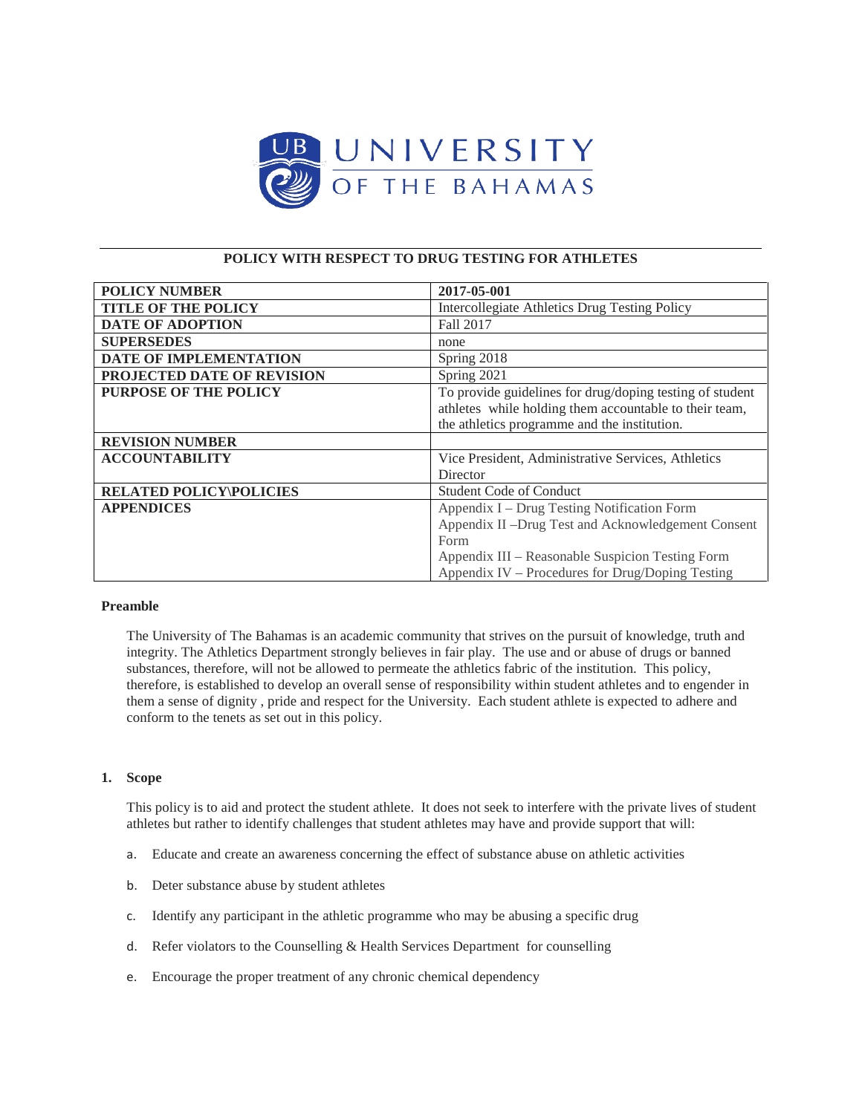

# **POLICY WITH RESPECT TO DRUG TESTING FOR ATHLETES**

| <b>POLICY NUMBER</b>           | 2017-05-001                                              |
|--------------------------------|----------------------------------------------------------|
| <b>TITLE OF THE POLICY</b>     | Intercollegiate Athletics Drug Testing Policy            |
| <b>DATE OF ADOPTION</b>        | Fall 2017                                                |
| <b>SUPERSEDES</b>              | none                                                     |
| <b>DATE OF IMPLEMENTATION</b>  | Spring 2018                                              |
| PROJECTED DATE OF REVISION     | Spring 2021                                              |
| <b>PURPOSE OF THE POLICY</b>   | To provide guidelines for drug/doping testing of student |
|                                | athletes while holding them accountable to their team,   |
|                                | the athletics programme and the institution.             |
| <b>REVISION NUMBER</b>         |                                                          |
| <b>ACCOUNTABILITY</b>          | Vice President, Administrative Services, Athletics       |
|                                | Director                                                 |
| <b>RELATED POLICY\POLICIES</b> | <b>Student Code of Conduct</b>                           |
| <b>APPENDICES</b>              | Appendix I – Drug Testing Notification Form              |
|                                | Appendix II -Drug Test and Acknowledgement Consent       |
|                                | Form                                                     |
|                                | Appendix III - Reasonable Suspicion Testing Form         |
|                                | Appendix IV – Procedures for Drug/Doping Testing         |

### **Preamble**

The University of The Bahamas is an academic community that strives on the pursuit of knowledge, truth and integrity. The Athletics Department strongly believes in fair play. The use and or abuse of drugs or banned substances, therefore, will not be allowed to permeate the athletics fabric of the institution. This policy, therefore, is established to develop an overall sense of responsibility within student athletes and to engender in them a sense of dignity , pride and respect for the University. Each student athlete is expected to adhere and conform to the tenets as set out in this policy.

## **1. Scope**

This policy is to aid and protect the student athlete. It does not seek to interfere with the private lives of student athletes but rather to identify challenges that student athletes may have and provide support that will:

- a. Educate and create an awareness concerning the effect of substance abuse on athletic activities
- b. Deter substance abuse by student athletes
- c. Identify any participant in the athletic programme who may be abusing a specific drug
- d. Refer violators to the Counselling & Health Services Department for counselling
- e. Encourage the proper treatment of any chronic chemical dependency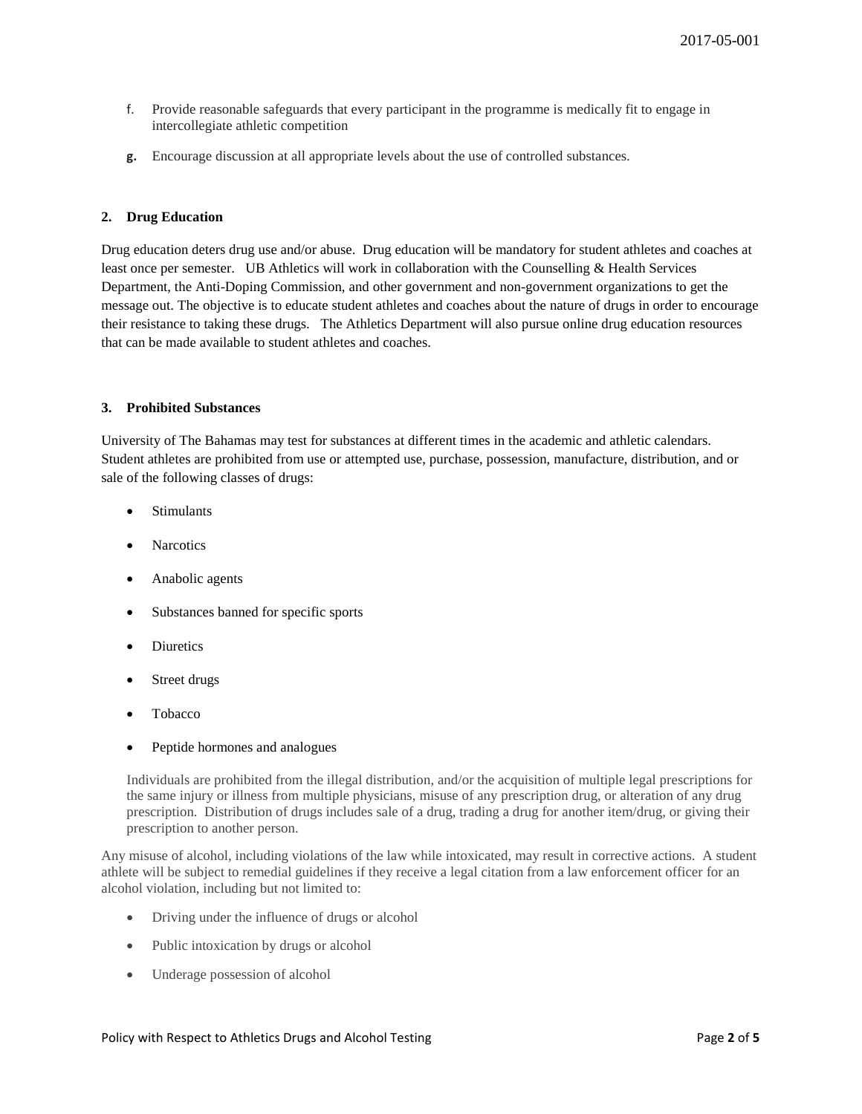- f. Provide reasonable safeguards that every participant in the programme is medically fit to engage in intercollegiate athletic competition
- **g.** Encourage discussion at all appropriate levels about the use of controlled substances.

### **2. Drug Education**

Drug education deters drug use and/or abuse. Drug education will be mandatory for student athletes and coaches at least once per semester. UB Athletics will work in collaboration with the Counselling & Health Services Department, the Anti-Doping Commission, and other government and non-government organizations to get the message out. The objective is to educate student athletes and coaches about the nature of drugs in order to encourage their resistance to taking these drugs. The Athletics Department will also pursue online drug education resources that can be made available to student athletes and coaches.

### **3. Prohibited Substances**

University of The Bahamas may test for substances at different times in the academic and athletic calendars. Student athletes are prohibited from use or attempted use, purchase, possession, manufacture, distribution, and or sale of the following classes of drugs:

- Stimulants
- **Narcotics**
- Anabolic agents
- Substances banned for specific sports
- **Diuretics**
- Street drugs
- Tobacco
- Peptide hormones and analogues

Individuals are prohibited from the illegal distribution, and/or the acquisition of multiple legal prescriptions for the same injury or illness from multiple physicians, misuse of any prescription drug, or alteration of any drug prescription. Distribution of drugs includes sale of a drug, trading a drug for another item/drug, or giving their prescription to another person.

Any misuse of alcohol, including violations of the law while intoxicated, may result in corrective actions. A student athlete will be subject to remedial guidelines if they receive a legal citation from a law enforcement officer for an alcohol violation, including but not limited to:

- Driving under the influence of drugs or alcohol
- Public intoxication by drugs or alcohol
- Underage possession of alcohol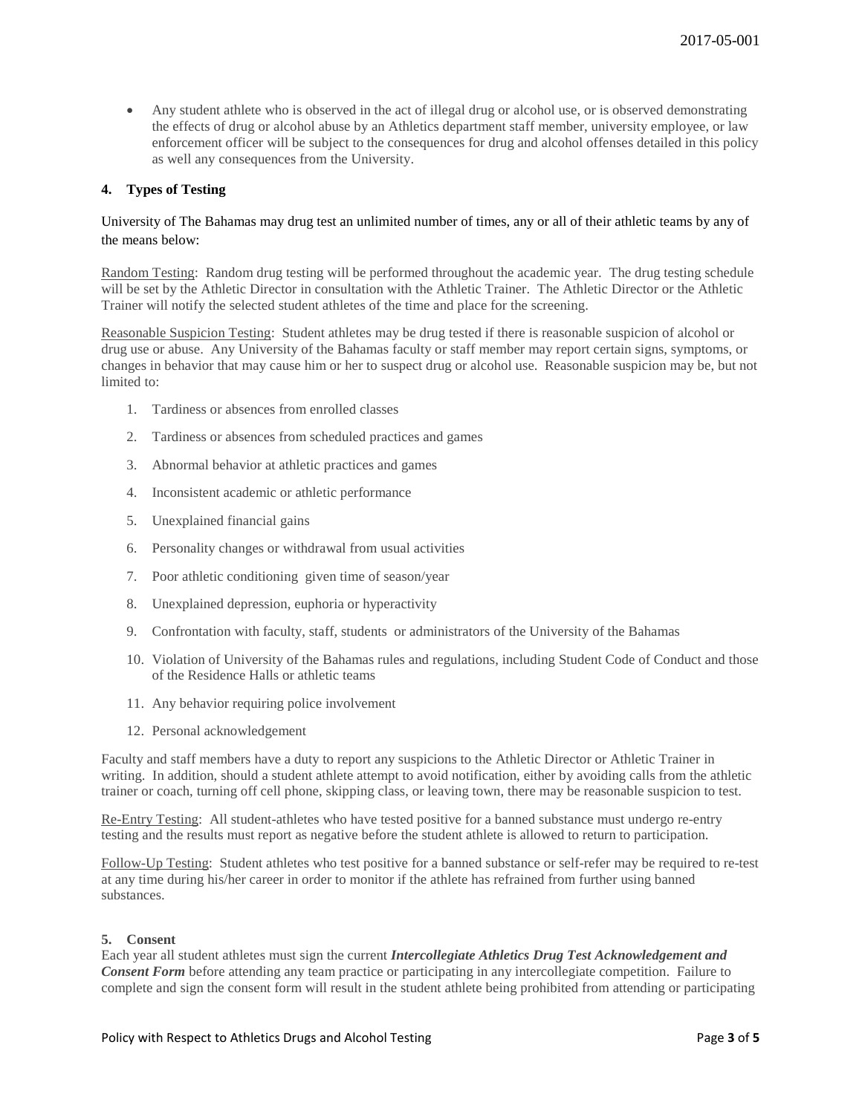• Any student athlete who is observed in the act of illegal drug or alcohol use, or is observed demonstrating the effects of drug or alcohol abuse by an Athletics department staff member, university employee, or law enforcement officer will be subject to the consequences for drug and alcohol offenses detailed in this policy as well any consequences from the University.

# **4. Types of Testing**

# University of The Bahamas may drug test an unlimited number of times, any or all of their athletic teams by any of the means below:

Random Testing: Random drug testing will be performed throughout the academic year. The drug testing schedule will be set by the Athletic Director in consultation with the Athletic Trainer. The Athletic Director or the Athletic Trainer will notify the selected student athletes of the time and place for the screening.

Reasonable Suspicion Testing: Student athletes may be drug tested if there is reasonable suspicion of alcohol or drug use or abuse. Any University of the Bahamas faculty or staff member may report certain signs, symptoms, or changes in behavior that may cause him or her to suspect drug or alcohol use. Reasonable suspicion may be, but not limited to:

- 1. Tardiness or absences from enrolled classes
- 2. Tardiness or absences from scheduled practices and games
- 3. Abnormal behavior at athletic practices and games
- 4. Inconsistent academic or athletic performance
- 5. Unexplained financial gains
- 6. Personality changes or withdrawal from usual activities
- 7. Poor athletic conditioning given time of season/year
- 8. Unexplained depression, euphoria or hyperactivity
- 9. Confrontation with faculty, staff, students or administrators of the University of the Bahamas
- 10. Violation of University of the Bahamas rules and regulations, including Student Code of Conduct and those of the Residence Halls or athletic teams
- 11. Any behavior requiring police involvement
- 12. Personal acknowledgement

Faculty and staff members have a duty to report any suspicions to the Athletic Director or Athletic Trainer in writing. In addition, should a student athlete attempt to avoid notification, either by avoiding calls from the athletic trainer or coach, turning off cell phone, skipping class, or leaving town, there may be reasonable suspicion to test.

Re-Entry Testing: All student-athletes who have tested positive for a banned substance must undergo re-entry testing and the results must report as negative before the student athlete is allowed to return to participation.

Follow-Up Testing: Student athletes who test positive for a banned substance or self-refer may be required to re-test at any time during his/her career in order to monitor if the athlete has refrained from further using banned substances.

### **5. Consent**

Each year all student athletes must sign the current *Intercollegiate Athletics Drug Test Acknowledgement and Consent Form* before attending any team practice or participating in any intercollegiate competition. Failure to complete and sign the consent form will result in the student athlete being prohibited from attending or participating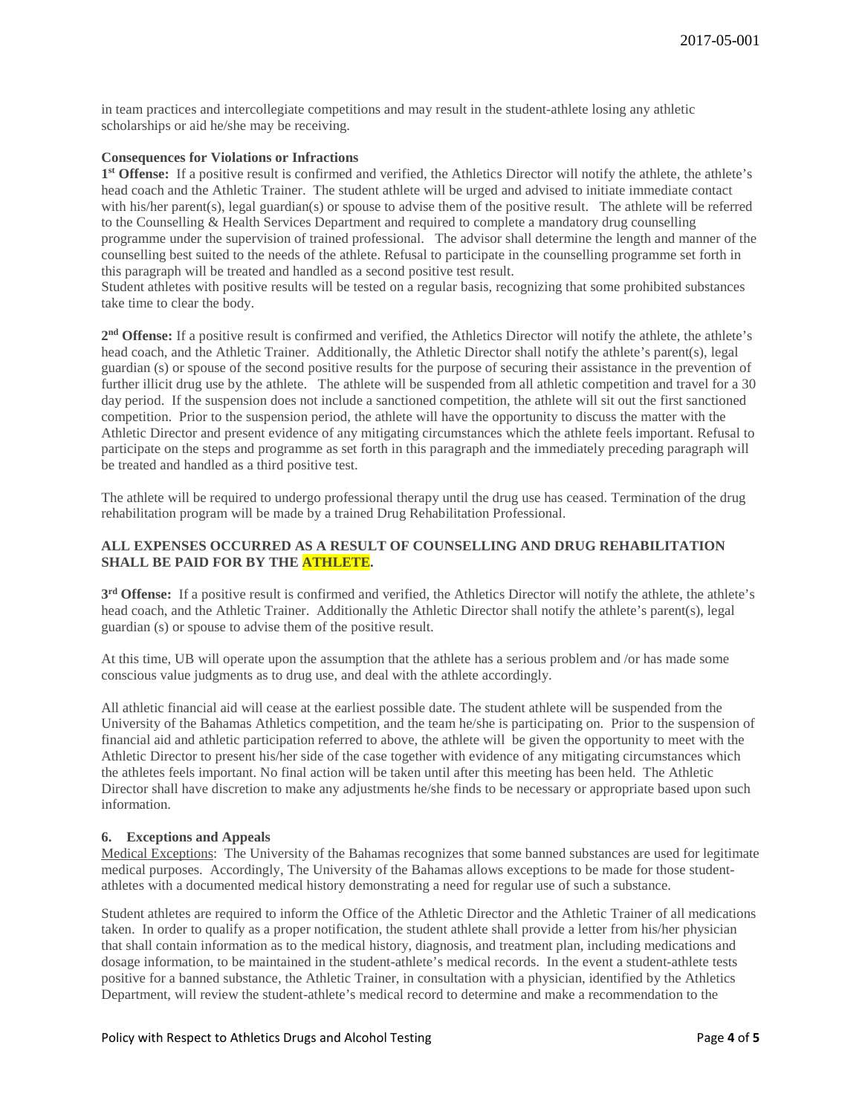in team practices and intercollegiate competitions and may result in the student-athlete losing any athletic scholarships or aid he/she may be receiving.

### **Consequences for Violations or Infractions**

**1st Offense:** If a positive result is confirmed and verified, the Athletics Director will notify the athlete, the athlete's head coach and the Athletic Trainer. The student athlete will be urged and advised to initiate immediate contact with his/her parent(s), legal guardian(s) or spouse to advise them of the positive result. The athlete will be referred to the Counselling & Health Services Department and required to complete a mandatory drug counselling programme under the supervision of trained professional. The advisor shall determine the length and manner of the counselling best suited to the needs of the athlete. Refusal to participate in the counselling programme set forth in this paragraph will be treated and handled as a second positive test result.

Student athletes with positive results will be tested on a regular basis, recognizing that some prohibited substances take time to clear the body.

**2nd Offense:** If a positive result is confirmed and verified, the Athletics Director will notify the athlete, the athlete's head coach, and the Athletic Trainer. Additionally, the Athletic Director shall notify the athlete's parent(s), legal guardian (s) or spouse of the second positive results for the purpose of securing their assistance in the prevention of further illicit drug use by the athlete. The athlete will be suspended from all athletic competition and travel for a 30 day period. If the suspension does not include a sanctioned competition, the athlete will sit out the first sanctioned competition. Prior to the suspension period, the athlete will have the opportunity to discuss the matter with the Athletic Director and present evidence of any mitigating circumstances which the athlete feels important. Refusal to participate on the steps and programme as set forth in this paragraph and the immediately preceding paragraph will be treated and handled as a third positive test.

The athlete will be required to undergo professional therapy until the drug use has ceased. Termination of the drug rehabilitation program will be made by a trained Drug Rehabilitation Professional.

# **ALL EXPENSES OCCURRED AS A RESULT OF COUNSELLING AND DRUG REHABILITATION SHALL BE PAID FOR BY THE ATHLETE.**

**3rd Offense:** If a positive result is confirmed and verified, the Athletics Director will notify the athlete, the athlete's head coach, and the Athletic Trainer. Additionally the Athletic Director shall notify the athlete's parent(s), legal guardian (s) or spouse to advise them of the positive result.

At this time, UB will operate upon the assumption that the athlete has a serious problem and /or has made some conscious value judgments as to drug use, and deal with the athlete accordingly.

All athletic financial aid will cease at the earliest possible date. The student athlete will be suspended from the University of the Bahamas Athletics competition, and the team he/she is participating on. Prior to the suspension of financial aid and athletic participation referred to above, the athlete will be given the opportunity to meet with the Athletic Director to present his/her side of the case together with evidence of any mitigating circumstances which the athletes feels important. No final action will be taken until after this meeting has been held. The Athletic Director shall have discretion to make any adjustments he/she finds to be necessary or appropriate based upon such information.

### **6. Exceptions and Appeals**

Medical Exceptions: The University of the Bahamas recognizes that some banned substances are used for legitimate medical purposes. Accordingly, The University of the Bahamas allows exceptions to be made for those studentathletes with a documented medical history demonstrating a need for regular use of such a substance.

Student athletes are required to inform the Office of the Athletic Director and the Athletic Trainer of all medications taken. In order to qualify as a proper notification, the student athlete shall provide a letter from his/her physician that shall contain information as to the medical history, diagnosis, and treatment plan, including medications and dosage information, to be maintained in the student-athlete's medical records. In the event a student-athlete tests positive for a banned substance, the Athletic Trainer, in consultation with a physician, identified by the Athletics Department, will review the student-athlete's medical record to determine and make a recommendation to the